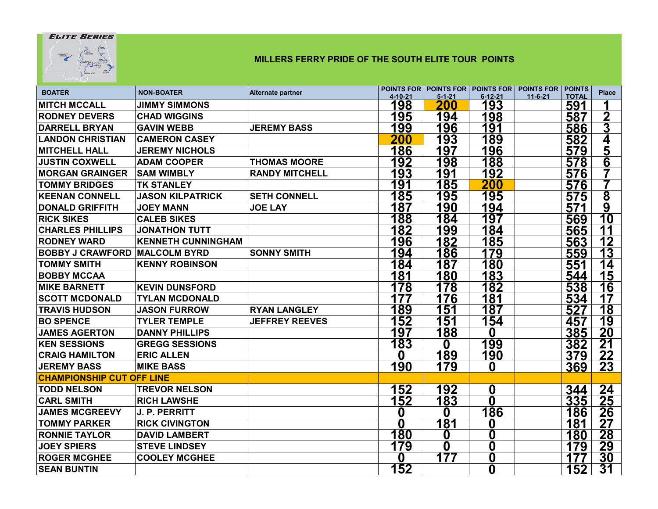## **ELITE SERIES**



## **MILLERS FERRY PRIDE OF THE SOUTH ELITE TOUR POINTS**

| <b>BOATER</b>                    | <b>NON-BOATER</b>         | <b>Alternate partner</b> | 4-10-21  | $5 - 1 - 21$ | $6 - 12 - 21$ | POINTS FOR   POINTS FOR   POINTS FOR   POINTS FOR   POINTS<br>$11 - 6 - 21$<br><b>TOTAL</b> | <b>Place</b>            |
|----------------------------------|---------------------------|--------------------------|----------|--------------|---------------|---------------------------------------------------------------------------------------------|-------------------------|
| <b>MITCH MCCALL</b>              | <b>JIMMY SIMMONS</b>      |                          | 198      | 200          | 193           | 591                                                                                         |                         |
| <b>RODNEY DEVERS</b>             | <b>CHAD WIGGINS</b>       |                          | 195      | 194          | 198           | 587                                                                                         | $\boldsymbol{2}$        |
| <b>DARRELL BRYAN</b>             | <b>GAVIN WEBB</b>         | <b>JEREMY BASS</b>       | 199      | 196          | 191           | 586                                                                                         | 3                       |
| <b>LANDON CHRISTIAN</b>          | <b>CAMERON CASEY</b>      |                          | 200      | 193          | 189           | 582                                                                                         | 4                       |
| <b>MITCHELL HALL</b>             | <b>JEREMY NICHOLS</b>     |                          | 186      | 197          | 196           | 579                                                                                         | 5                       |
| <b>JUSTIN COXWELL</b>            | <b>ADAM COOPER</b>        | <b>THOMAS MOORE</b>      | 192      | 198          | 188           | 578                                                                                         | 6                       |
| <b>MORGAN GRAINGER</b>           | <b>SAM WIMBLY</b>         | <b>RANDY MITCHELL</b>    | 193      | <u> 191</u>  | 192           | 576                                                                                         |                         |
| <b>TOMMY BRIDGES</b>             | <b>TK STANLEY</b>         |                          | 191      | 185          | 200           | 576                                                                                         |                         |
| <b>KEENAN CONNELL</b>            | <b>JASON KILPATRICK</b>   | <b>SETH CONNELL</b>      | 185      | 195          | 195           | 575                                                                                         | $\overline{\mathbf{8}}$ |
| <b>DONALD GRIFFITH</b>           | <b>JOEY MANN</b>          | <b>JOE LAY</b>           | 187      | 190          | 194           | 571                                                                                         | $\overline{9}$          |
| <b>RICK SIKES</b>                | <b>CALEB SIKES</b>        |                          | 188      | 184          | 197           | 569                                                                                         | 10                      |
| <b>CHARLES PHILLIPS</b>          | <b>JONATHON TUTT</b>      |                          | 182      | 199          | 184           | 565                                                                                         | 11                      |
| <b>RODNEY WARD</b>               | <b>KENNETH CUNNINGHAM</b> |                          | 196      | 182          | 185           | 563                                                                                         | 12                      |
| <b>BOBBY J CRAWFORD</b>          | <b>MALCOLM BYRD</b>       | <b>SONNY SMITH</b>       | 194      | 186          | 179           | <u>559</u>                                                                                  | 13                      |
| <b>TOMMY SMITH</b>               | <b>KENNY ROBINSON</b>     |                          | 184      | 187          | 180           | 551                                                                                         | 14                      |
| <b>BOBBY MCCAA</b>               |                           |                          | 181      | 180          | 183           | 544                                                                                         | <u> 15</u>              |
| <b>MIKE BARNETT</b>              | <b>KEVIN DUNSFORD</b>     |                          | 178      | 178          | 182           | 538                                                                                         | 16                      |
| <b>SCOTT MCDONALD</b>            | <b>TYLAN MCDONALD</b>     |                          | 177      | 176          | 181           | 534                                                                                         | 17                      |
| <b>TRAVIS HUDSON</b>             | <b>JASON FURROW</b>       | <b>RYAN LANGLEY</b>      | 189      | 151          | 187           | 527                                                                                         | 18                      |
| <b>BO SPENCE</b>                 | <b>TYLER TEMPLE</b>       | <b>JEFFREY REEVES</b>    | 152      | 151          | 154           | 457                                                                                         | 19                      |
| <b>JAMES AGERTON</b>             | <b>DANNY PHILLIPS</b>     |                          | 197      | 188          | 0             | 385                                                                                         | 20                      |
| <b>KEN SESSIONS</b>              | <b>GREGG SESSIONS</b>     |                          | 183      | $\bf{0}$     | <u>199</u>    | 382                                                                                         | <u>21</u>               |
| <b>CRAIG HAMILTON</b>            | <b>ERIC ALLEN</b>         |                          | 0        | 189          | 190           | 379                                                                                         | 22                      |
| <b>JEREMY BASS</b>               | <b>MIKE BASS</b>          |                          | 190      | 179          | 0             | 369                                                                                         | 23                      |
| <b>CHAMPIONSHIP CUT OFF LINE</b> |                           |                          |          |              |               |                                                                                             |                         |
| <b>TODD NELSON</b>               | <b>TREVOR NELSON</b>      |                          | 152      | 192          | 0             | 344                                                                                         | 24                      |
| <b>CARL SMITH</b>                | <b>RICH LAWSHE</b>        |                          | 152      | 183          | 0             | 335                                                                                         | 25                      |
| <b>JAMES MCGREEVY</b>            | <b>J. P. PERRITT</b>      |                          | 0        | 0            | 186           | <u> 186</u>                                                                                 | <u> 26 </u>             |
| <b>TOMMY PARKER</b>              | <b>RICK CIVINGTON</b>     |                          | $\bf{0}$ | 181          | 0             | 181                                                                                         | 27                      |
| <b>RONNIE TAYLOR</b>             | <b>DAVID LAMBERT</b>      |                          | 180      | 0            | 0             | 180                                                                                         | 28                      |
| <b>JOEY SPIERS</b>               | <b>STEVE LINDSEY</b>      |                          | 179      | 0            | 0             | 179                                                                                         | 29                      |
| <b>ROGER MCGHEE</b>              | <b>COOLEY MCGHEE</b>      |                          | 0        | 177          | 0             |                                                                                             | 30                      |
| <b>SEAN BUNTIN</b>               |                           |                          | 152      |              | $\mathbf 0$   | 152                                                                                         | 31                      |